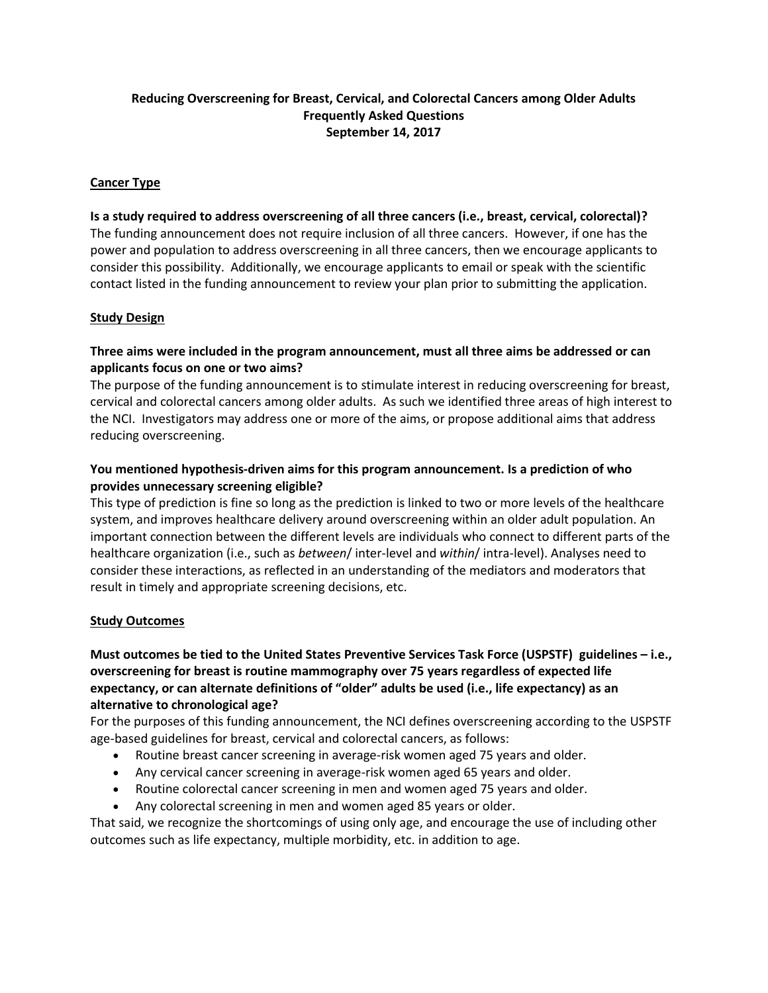## **Reducing Overscreening for Breast, Cervical, and Colorectal Cancers among Older Adults Frequently Asked Questions September 14, 2017**

### **Cancer Type**

# **Is a study required to address overscreening of all three cancers (i.e., breast, cervical, colorectal)?** The funding announcement does not require inclusion of all three cancers. However, if one has the power and population to address overscreening in all three cancers, then we encourage applicants to consider this possibility. Additionally, we encourage applicants to email or speak with the scientific contact listed in the funding announcement to review your plan prior to submitting the application.

### **Study Design**

## **Three aims were included in the program announcement, must all three aims be addressed or can applicants focus on one or two aims?**

The purpose of the funding announcement is to stimulate interest in reducing overscreening for breast, cervical and colorectal cancers among older adults. As such we identified three areas of high interest to the NCI. Investigators may address one or more of the aims, or propose additional aims that address reducing overscreening.

# **You mentioned hypothesis-driven aims for this program announcement. Is a prediction of who provides unnecessary screening eligible?**

This type of prediction is fine so long as the prediction is linked to two or more levels of the healthcare system, and improves healthcare delivery around overscreening within an older adult population. An important connection between the different levels are individuals who connect to different parts of the healthcare organization (i.e., such as *between*/ inter-level and *within*/ intra-level). Analyses need to consider these interactions, as reflected in an understanding of the mediators and moderators that result in timely and appropriate screening decisions, etc.

### **Study Outcomes**

# **Must outcomes be tied to the United States Preventive Services Task Force (USPSTF) guidelines – i.e., overscreening for breast is routine mammography over 75 years regardless of expected life expectancy, or can alternate definitions of "older" adults be used (i.e., life expectancy) as an alternative to chronological age?**

For the purposes of this funding announcement, the NCI defines overscreening according to the USPSTF age-based guidelines for breast, cervical and colorectal cancers, as follows:

- Routine breast cancer screening in average-risk women aged 75 years and older.
- Any cervical cancer screening in average-risk women aged 65 years and older.
- Routine colorectal cancer screening in men and women aged 75 years and older.
- Any colorectal screening in men and women aged 85 years or older.

That said, we recognize the shortcomings of using only age, and encourage the use of including other outcomes such as life expectancy, multiple morbidity, etc. in addition to age.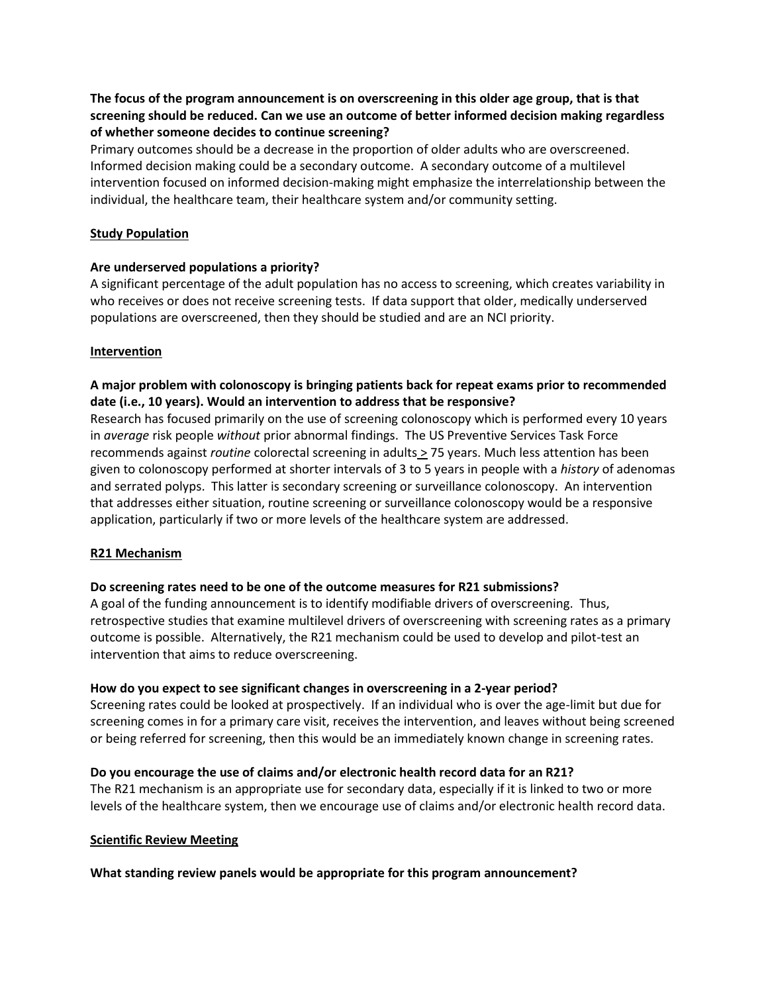# **The focus of the program announcement is on overscreening in this older age group, that is that screening should be reduced. Can we use an outcome of better informed decision making regardless of whether someone decides to continue screening?**

Primary outcomes should be a decrease in the proportion of older adults who are overscreened. Informed decision making could be a secondary outcome. A secondary outcome of a multilevel intervention focused on informed decision-making might emphasize the interrelationship between the individual, the healthcare team, their healthcare system and/or community setting.

### **Study Population**

### **Are underserved populations a priority?**

A significant percentage of the adult population has no access to screening, which creates variability in who receives or does not receive screening tests. If data support that older, medically underserved populations are overscreened, then they should be studied and are an NCI priority.

### **Intervention**

# **A major problem with colonoscopy is bringing patients back for repeat exams prior to recommended date (i.e., 10 years). Would an intervention to address that be responsive?**

Research has focused primarily on the use of screening colonoscopy which is performed every 10 years in *average* risk people *without* prior abnormal findings. The US Preventive Services Task Force recommends against *routine* colorectal screening in adults > 75 years. Much less attention has been given to colonoscopy performed at shorter intervals of 3 to 5 years in people with a *history* of adenomas and serrated polyps. This latter is secondary screening or surveillance colonoscopy. An intervention that addresses either situation, routine screening or surveillance colonoscopy would be a responsive application, particularly if two or more levels of the healthcare system are addressed.

### **R21 Mechanism**

# **Do screening rates need to be one of the outcome measures for R21 submissions?**

A goal of the funding announcement is to identify modifiable drivers of overscreening. Thus, retrospective studies that examine multilevel drivers of overscreening with screening rates as a primary outcome is possible. Alternatively, the R21 mechanism could be used to develop and pilot-test an intervention that aims to reduce overscreening.

### **How do you expect to see significant changes in overscreening in a 2-year period?**

Screening rates could be looked at prospectively. If an individual who is over the age-limit but due for screening comes in for a primary care visit, receives the intervention, and leaves without being screened or being referred for screening, then this would be an immediately known change in screening rates.

# **Do you encourage the use of claims and/or electronic health record data for an R21?**

The R21 mechanism is an appropriate use for secondary data, especially if it is linked to two or more levels of the healthcare system, then we encourage use of claims and/or electronic health record data.

### **Scientific Review Meeting**

### **What standing review panels would be appropriate for this program announcement?**